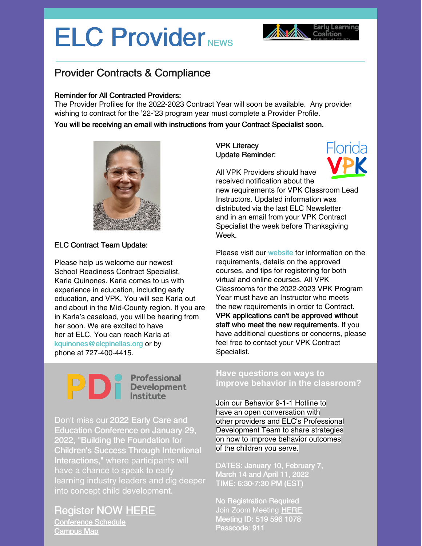## ELC Provider NEWS



## Provider Contracts & Compliance

#### Reminder for All Contracted Providers:

The Provider Profiles for the 2022-2023 Contract Year will soon be available. Any provider wishing to contract for the '22-'23 program year must complete a Provider Profile.

You will be receiving an email with instructions from your Contract Specialist soon.



#### ELC Contract Team Update:

Please help us welcome our newest School Readiness Contract Specialist, Karla Quinones. Karla comes to us with experience in education, including early education, and VPK. You will see Karla out and about in the Mid-County region. If you are in Karla's caseload, you will be hearing from her soon. We are excited to have her at ELC. You can reach Karla at [kquinones@elcpinellas.org](mailto:kquinones@elcpinellas.org) or by phone at 727-400-4415.

#### VPK Literacy Update Reminder:



All VPK Providers should have

received notification about the new requirements for VPK Classroom Lead Instructors. Updated information was distributed via the last ELC Newsletter and in an email from your VPK Contract Specialist the week before Thanksgiving Week.

Please visit our [website](https://elcpinellas.net/for-providers/) for information on the requirements, details on the approved courses, and tips for registering for both virtual and online courses. All VPK Classrooms for the 2022-2023 VPK Program Year must have an Instructor who meets the new requirements in order to Contract. VPK applications can't be approved without staff who meet the new requirements. If you have additional questions or concerns, please feel free to contact your VPK Contract Specialist.

# **DESPENSEE PROPRENEUR**<br> **DESPENSEE PROPRENEUR**<br> **DESPENSEE PROPRENEUR**<br> **DESPENSEE PROPRENEUR**<br> **DESPENSEE PROPRENEUR**

Don't miss our 2022 Early Care and Education Conference on January 29, 2022, "Building the Foundation for Children's Success Through Intentional Interactions," where participants will have a chance to speak to early learning industry leaders and dig deeper into concept child development.

### Register NOW [HERE](https://www.eventbrite.com/e/2022-early-childhood-conference-tickets-172801362527)

[Conference](https://files.constantcontact.com/a59e861e101/3a45174e-99fa-4fc1-bc70-d6f737000573.pdf?rdr=true) Schedule [Campus](https://files.constantcontact.com/a59e861e101/19cc29d1-cea5-4184-820f-86a1b8ce3ff5.pdf?rdr=true) Map

#### **Have questions on ways to improve behavior in the classroom?**

Join our Behavior 9-1-1 Hotline to have an open conversation with other providers and ELC's Professional Development Team to share strategies on how to improve behavior outcomes of the children you serve.

DATES: January 10, February 7, March 14 and April 11, 2022 TIME: 6:30-7:30 PM (EST)

No Registration Required Join Zoom Meeting [HERE](https://us02web.zoom.us/j/5195961078?pwd=cHFMalJzaUdDeUx5QndhZGR0UkR0Zz09) Meeting ID: 519 596 1078 Passcode: 911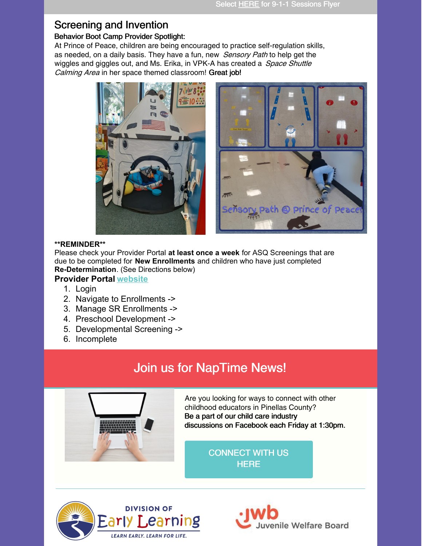## Screening and Invention

#### Behavior Boot Camp Provider Spotlight:

At Prince of Peace, children are being encouraged to practice self-regulation skills, as needed, on a daily basis. They have a fun, new Sensory Path to help get the wiggles and giggles out, and Ms. Erika, in VPK-A has created a *Space Shuttle* Calming Area in her space themed classroom! Great job!



#### **\*\*REMINDER\*\***

Please check your Provider Portal **at least once a week** for ASQ Screenings that are due to be completed for **New Enrollments** and children who have just completed **Re-Determination**. (See Directions below)

#### **Provider Portal [website](https://providerservices.floridaearlylearning.com/Account/Login)**

- 1. Login
- 2. Navigate to Enrollments ->
- 3. Manage SR Enrollments ->
- 4. Preschool Development ->
- 5. Developmental Screening ->
- 6. Incomplete

## Join us for NapTime News!



Are you looking for ways to connect with other childhood educators in Pinellas County? Be a part of our child care industry discussions on Facebook each Friday at 1:30pm.

> [CONNECT](https://www.facebook.com/groups/elcpinellasecprofessionals) WITH US **HERE**